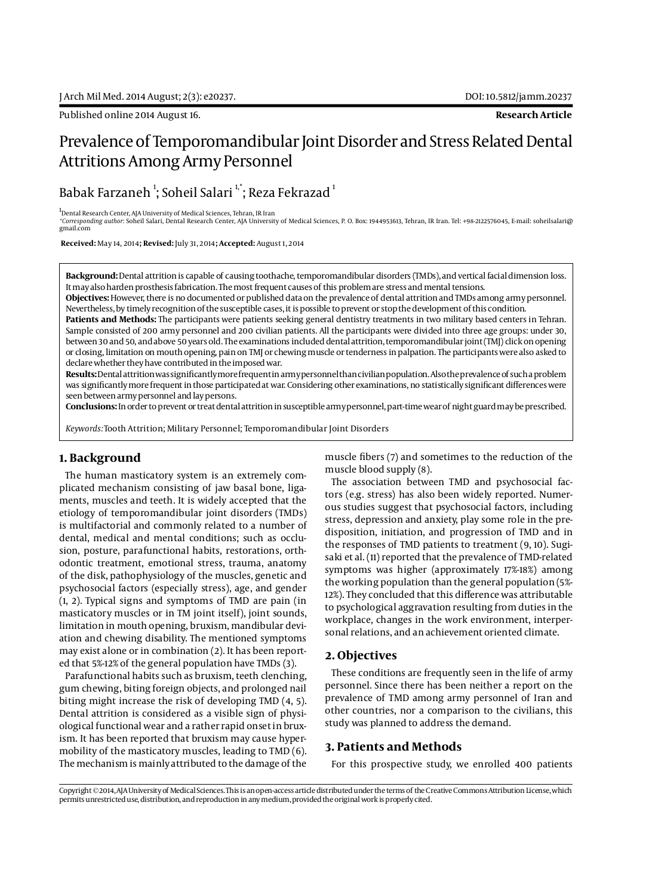# Prevalence of Temporomandibular Joint Disorder and Stress Related Dental Attritions Among Army Personnel

Babak Farzaneh  $^{\rm l}$ ; Soheil Salari  $^{\rm l, *}$ ; Reza Fekrazad  $^{\rm l}$ 

<sup>1</sup>Dental Research Center, AJA University of Medical Sciences, Tehran, IR Iran

*\*Corresponding author*: Soheil Salari, Dental Research Center, AJA University of Medical Sciences, P. O. Box: 1944953613, Tehran, IR Iran. Tel: +98-2122576045, E-mail: soheilsalari@ gmail.com

 **Received:** May 14, 2014**; Revised:** July 31, 2014**; Accepted:** August 1, 2014

**Background:** Dental attrition is capable of causing toothache, temporomandibular disorders (TMDs), and vertical facial dimension loss. It may also harden prosthesis fabrication. The most frequent causes of this problem are stress and mental tensions.

**Objectives:** However, there is no documented or published data on the prevalence of dental attrition and TMDs among army personnel. Nevertheless, by timely recognition of the susceptible cases, it is possible to prevent or stop the development of this condition.

**Patients and Methods:** The participants were patients seeking general dentistry treatments in two military based centers in Tehran. Sample consisted of 200 army personnel and 200 civilian patients. All the participants were divided into three age groups: under 30, between 30 and 50, and above 50 years old. The examinations included dental attrition, temporomandibular joint (TMJ) click on opening or closing, limitation on mouth opening, pain on TMJ or chewing muscle or tenderness in palpation. The participants were also asked to declare whether they have contributed in the imposed war.

**Results:** Dental attrition was significantly more frequent in army personnel than civilian population. Also the prevalence of such a problem was significantly more frequent in those participated at war. Considering other examinations, no statistically significant differences were seen between army personnel and lay persons.

**Conclusions:** In order to prevent or treat dental attrition in susceptible army personnel, part-time wear of night guard may be prescribed.

*Keywords:*Tooth Attrition; Military Personnel; Temporomandibular Joint Disorders

### **1. Background**

The human masticatory system is an extremely complicated mechanism consisting of jaw basal bone, ligaments, muscles and teeth. It is widely accepted that the etiology of temporomandibular joint disorders (TMDs) is multifactorial and commonly related to a number of dental, medical and mental conditions; such as occlusion, posture, parafunctional habits, restorations, orthodontic treatment, emotional stress, trauma, anatomy of the disk, pathophysiology of the muscles, genetic and psychosocial factors (especially stress), age, and gender (1, 2). Typical signs and symptoms of TMD are pain (in masticatory muscles or in TM joint itself), joint sounds, limitation in mouth opening, bruxism, mandibular deviation and chewing disability. The mentioned symptoms may exist alone or in combination (2). It has been reported that 5%-12% of the general population have TMDs (3).

Parafunctional habits such as bruxism, teeth clenching, gum chewing, biting foreign objects, and prolonged nail biting might increase the risk of developing TMD (4, 5). Dental attrition is considered as a visible sign of physiological functional wear and a rather rapid onset in bruxism. It has been reported that bruxism may cause hypermobility of the masticatory muscles, leading to TMD (6). The mechanism is mainly attributed to the damage of the muscle fibers (7) and sometimes to the reduction of the muscle blood supply (8).

The association between TMD and psychosocial factors (e.g. stress) has also been widely reported. Numerous studies suggest that psychosocial factors, including stress, depression and anxiety, play some role in the predisposition, initiation, and progression of TMD and in the responses of TMD patients to treatment (9, 10). Sugisaki et al. (11) reported that the prevalence of TMD-related symptoms was higher (approximately 17%-18%) among the working population than the general population (5%- 12%). They concluded that this difference was attributable to psychological aggravation resulting from duties in the workplace, changes in the work environment, interpersonal relations, and an achievement oriented climate.

### **2. Objectives**

These conditions are frequently seen in the life of army personnel. Since there has been neither a report on the prevalence of TMD among army personnel of Iran and other countries, nor a comparison to the civilians, this study was planned to address the demand.

### **3. Patients and Methods**

For this prospective study, we enrolled 400 patients

Copyright © 2014, AJA University of Medical Sciences. This is an open-access article distributed under the terms of the Creative Commons Attribution License, which permits unrestricted use, distribution, and reproduction in any medium, provided the original work is properly cited.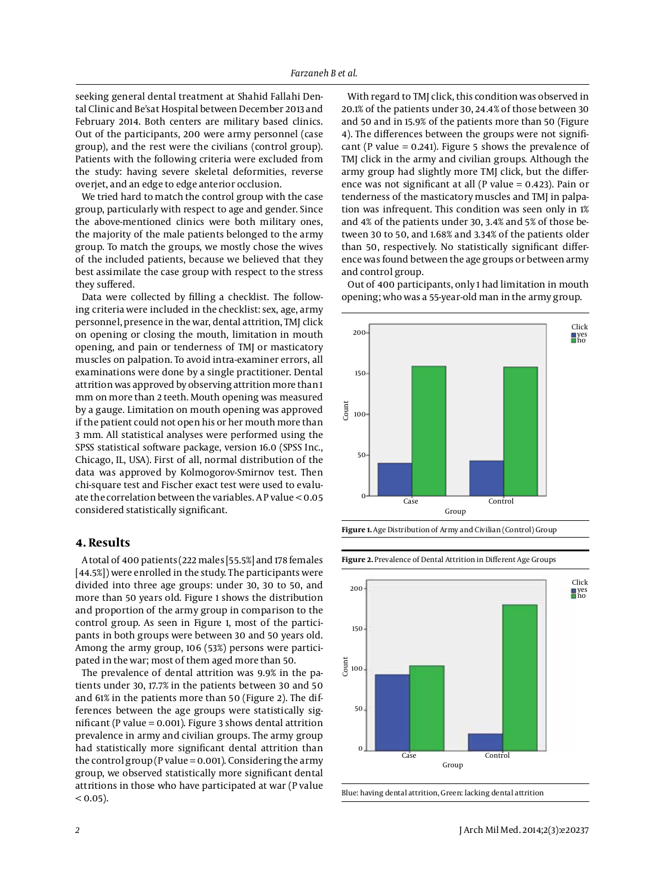seeking general dental treatment at Shahid Fallahi Dental Clinic and Be'sat Hospital between December 2013 and February 2014. Both centers are military based clinics. Out of the participants, 200 were army personnel (case group), and the rest were the civilians (control group). Patients with the following criteria were excluded from the study: having severe skeletal deformities, reverse overjet, and an edge to edge anterior occlusion.

We tried hard to match the control group with the case group, particularly with respect to age and gender. Since the above-mentioned clinics were both military ones, the majority of the male patients belonged to the army group. To match the groups, we mostly chose the wives of the included patients, because we believed that they best assimilate the case group with respect to the stress they suffered.

Data were collected by filling a checklist. The following criteria were included in the checklist: sex, age, army personnel, presence in the war, dental attrition, TMJ click on opening or closing the mouth, limitation in mouth opening, and pain or tenderness of TMJ or masticatory muscles on palpation. To avoid intra-examiner errors, all examinations were done by a single practitioner. Dental attrition was approved by observing attrition more than 1 mm on more than 2 teeth. Mouth opening was measured by a gauge. Limitation on mouth opening was approved if the patient could not open his or her mouth more than 3 mm. All statistical analyses were performed using the SPSS statistical software package, version 16.0 (SPSS Inc., Chicago, IL, USA). First of all, normal distribution of the data was approved by Kolmogorov-Smirnov test. Then chi-square test and Fischer exact test were used to evaluate the correlation between the variables. A P value < 0.05 considered statistically significant.

#### **4. Results**

A total of 400 patients (222 males [55.5%] and 178 females [44.5%]) were enrolled in the study. The participants were divided into three age groups: under 30, 30 to 50, and more than 50 years old. Figure 1 shows the distribution and proportion of the army group in comparison to the control group. As seen in Figure 1, most of the participants in both groups were between 30 and 50 years old. Among the army group, 106 (53%) persons were participated in the war; most of them aged more than 50.

The prevalence of dental attrition was 9.9% in the patients under 30, 17.7% in the patients between 30 and 50 and 61% in the patients more than 50 (Figure 2). The differences between the age groups were statistically significant (P value = 0.001). Figure 3 shows dental attrition prevalence in army and civilian groups. The army group had statistically more significant dental attrition than the control group (P value =  $0.001$ ). Considering the army group, we observed statistically more significant dental attritions in those who have participated at war (P value  $< 0.05$ ).

With regard to TMJ click, this condition was observed in 20.1% of the patients under 30, 24.4% of those between 30 and 50 and in 15.9% of the patients more than 50 (Figure 4). The differences between the groups were not significant (P value =  $0.241$ ). Figure 5 shows the prevalence of TMJ click in the army and civilian groups. Although the army group had slightly more TMJ click, but the difference was not significant at all (P value = 0.423). Pain or tenderness of the masticatory muscles and TMJ in palpation was infrequent. This condition was seen only in 1% and 4% of the patients under 30, 3.4% and 5% of those between 30 to 50, and 1.68% and 3.34% of the patients older than 50, respectively. No statistically significant difference was found between the age groups or between army and control group.

Out of 400 participants, only 1 had limitation in mouth opening; who was a 55-year-old man in the army group.







Blue: having dental attrition, Green: lacking dental attrition

**Figure 2.** Prevalence of Dental Attrition in Different Age Groups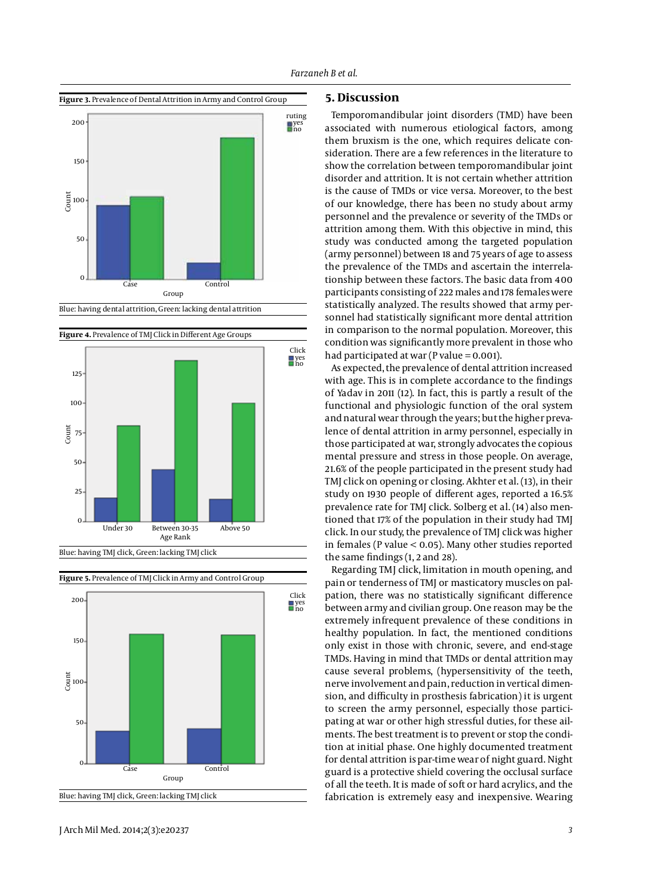





Blue: having TMJ click, Green: lacking TMJ click





## **5. Discussion**

Temporomandibular joint disorders (TMD) have been associated with numerous etiological factors, among them bruxism is the one, which requires delicate consideration. There are a few references in the literature to show the correlation between temporomandibular joint disorder and attrition. It is not certain whether attrition is the cause of TMDs or vice versa. Moreover, to the best of our knowledge, there has been no study about army personnel and the prevalence or severity of the TMDs or attrition among them. With this objective in mind, this study was conducted among the targeted population (army personnel) between 18 and 75 years of age to assess the prevalence of the TMDs and ascertain the interrelationship between these factors. The basic data from 400 participants consisting of 222 males and 178 females were statistically analyzed. The results showed that army personnel had statistically significant more dental attrition in comparison to the normal population. Moreover, this condition was significantly more prevalent in those who had participated at war (P value  $= 0.001$ ).

As expected, the prevalence of dental attrition increased with age. This is in complete accordance to the findings of Yadav in 2011 (12). In fact, this is partly a result of the functional and physiologic function of the oral system and natural wear through the years; but the higher prevalence of dental attrition in army personnel, especially in those participated at war, strongly advocates the copious mental pressure and stress in those people. On average, 21.6% of the people participated in the present study had TMJ click on opening or closing. Akhter et al. (13), in their study on 1930 people of different ages, reported a 16.5% prevalence rate for TMJ click. Solberg et al. (14) also mentioned that 17% of the population in their study had TMJ click. In our study, the prevalence of TMJ click was higher in females (P value < 0.05). Many other studies reported the same findings (1, 2 and 28).

Regarding TMJ click, limitation in mouth opening, and pain or tenderness of TMJ or masticatory muscles on palpation, there was no statistically significant difference between army and civilian group. One reason may be the extremely infrequent prevalence of these conditions in healthy population. In fact, the mentioned conditions only exist in those with chronic, severe, and end-stage TMDs. Having in mind that TMDs or dental attrition may cause several problems, (hypersensitivity of the teeth, nerve involvement and pain, reduction in vertical dimension, and difficulty in prosthesis fabrication) it is urgent to screen the army personnel, especially those participating at war or other high stressful duties, for these ailments. The best treatment is to prevent or stop the condition at initial phase. One highly documented treatment for dental attrition is par-time wear of night guard. Night guard is a protective shield covering the occlusal surface of all the teeth. It is made of soft or hard acrylics, and the fabrication is extremely easy and inexpensive. Wearing

J Arch Mil Med. 2014;2(3):e20237 *3*